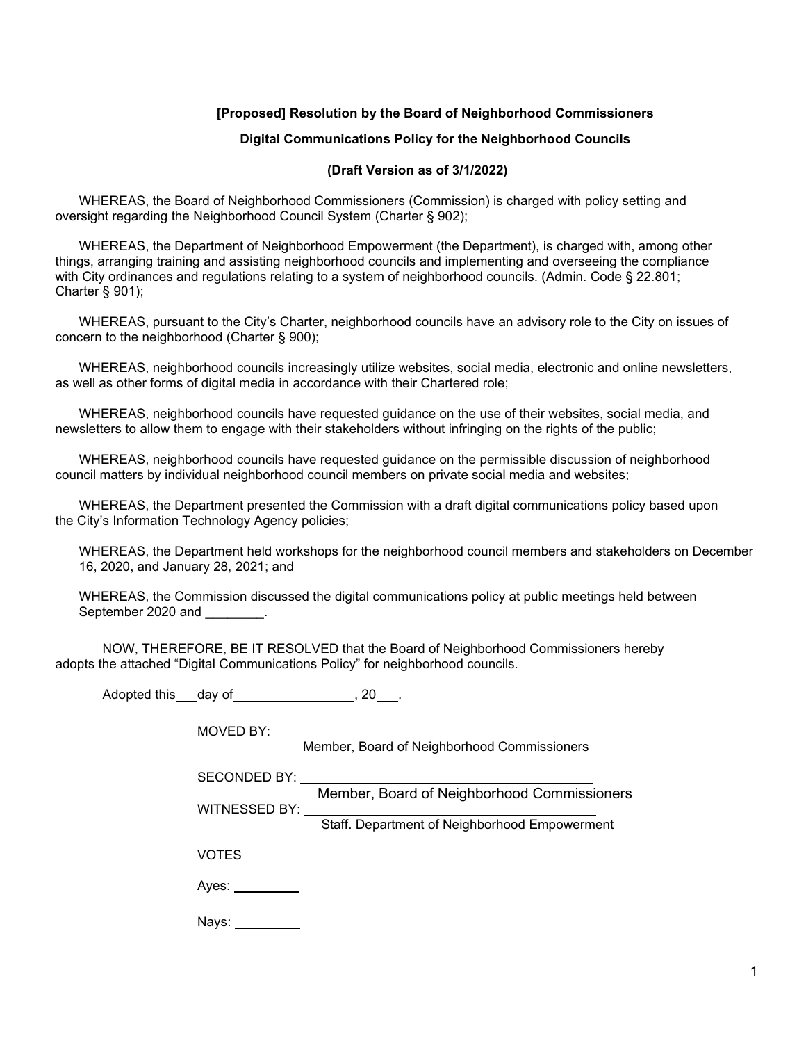# **[Proposed] Resolution by the Board of Neighborhood Commissioners**

### **Digital Communications Policy for the Neighborhood Councils**

### **(Draft Version as of 3/1/2022)**

WHEREAS, the Board of Neighborhood Commissioners (Commission) is charged with policy setting and oversight regarding the Neighborhood Council System (Charter § 902);

WHEREAS, the Department of Neighborhood Empowerment (the Department), is charged with, among other things, arranging training and assisting neighborhood councils and implementing and overseeing the compliance with City ordinances and regulations relating to a system of neighborhood councils. (Admin. Code § 22.801; Charter § 901);

WHEREAS, pursuant to the City's Charter, neighborhood councils have an advisory role to the City on issues of concern to the neighborhood (Charter § 900);

WHEREAS, neighborhood councils increasingly utilize websites, social media, electronic and online newsletters, as well as other forms of digital media in accordance with their Chartered role;

WHEREAS, neighborhood councils have requested guidance on the use of their websites, social media, and newsletters to allow them to engage with their stakeholders without infringing on the rights of the public;

WHEREAS, neighborhood councils have requested guidance on the permissible discussion of neighborhood council matters by individual neighborhood council members on private social media and websites;

WHEREAS, the Department presented the Commission with a draft digital communications policy based upon the City's Information Technology Agency policies;

WHEREAS, the Department held workshops for the neighborhood council members and stakeholders on December 16, 2020, and January 28, 2021; and

WHEREAS, the Commission discussed the digital communications policy at public meetings held between September 2020 and \_\_\_\_\_\_\_\_.

NOW, THEREFORE, BE IT RESOLVED that the Board of Neighborhood Commissioners hereby adopts the attached "Digital Communications Policy" for neighborhood councils.

Adopted this day of , 20 ...

| MOVED BY:            |                                               |
|----------------------|-----------------------------------------------|
|                      | Member, Board of Neighborhood Commissioners   |
| SECONDED BY:         |                                               |
|                      | Member, Board of Neighborhood Commissioners   |
| <b>WITNESSED BY:</b> |                                               |
|                      | Staff. Department of Neighborhood Empowerment |
| <b>VOTES</b>         |                                               |
| Aves:                |                                               |
| Nays:                |                                               |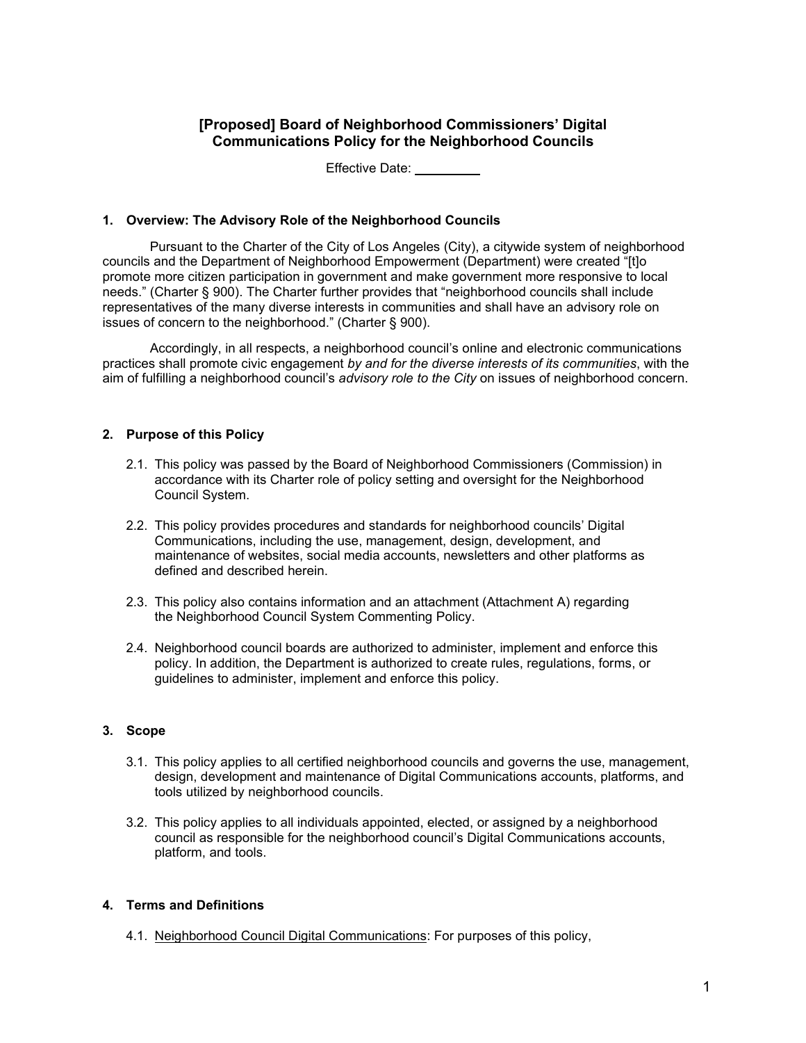# **[Proposed] Board of Neighborhood Commissioners' Digital Communications Policy for the Neighborhood Councils**

Effective Date: \_\_\_\_\_

### **1. Overview: The Advisory Role of the Neighborhood Councils**

Pursuant to the Charter of the City of Los Angeles (City), a citywide system of neighborhood councils and the Department of Neighborhood Empowerment (Department) were created "[t]o promote more citizen participation in government and make government more responsive to local needs." (Charter § 900). The Charter further provides that "neighborhood councils shall include representatives of the many diverse interests in communities and shall have an advisory role on issues of concern to the neighborhood." (Charter § 900).

Accordingly, in all respects, a neighborhood council's online and electronic communications practices shall promote civic engagement *by and for the diverse interests of its communities*, with the aim of fulfilling a neighborhood council's *advisory role to the City* on issues of neighborhood concern.

### **2. Purpose of this Policy**

- 2.1. This policy was passed by the Board of Neighborhood Commissioners (Commission) in accordance with its Charter role of policy setting and oversight for the Neighborhood Council System.
- 2.2. This policy provides procedures and standards for neighborhood councils' Digital Communications, including the use, management, design, development, and maintenance of websites, social media accounts, newsletters and other platforms as defined and described herein.
- 2.3. This policy also contains information and an attachment (Attachment A) regarding the Neighborhood Council System Commenting Policy.
- 2.4. Neighborhood council boards are authorized to administer, implement and enforce this policy. In addition, the Department is authorized to create rules, regulations, forms, or guidelines to administer, implement and enforce this policy.

### **3. Scope**

- 3.1. This policy applies to all certified neighborhood councils and governs the use, management, design, development and maintenance of Digital Communications accounts, platforms, and tools utilized by neighborhood councils.
- 3.2. This policy applies to all individuals appointed, elected, or assigned by a neighborhood council as responsible for the neighborhood council's Digital Communications accounts, platform, and tools.

### **4. Terms and Definitions**

4.1. Neighborhood Council Digital Communications: For purposes of this policy,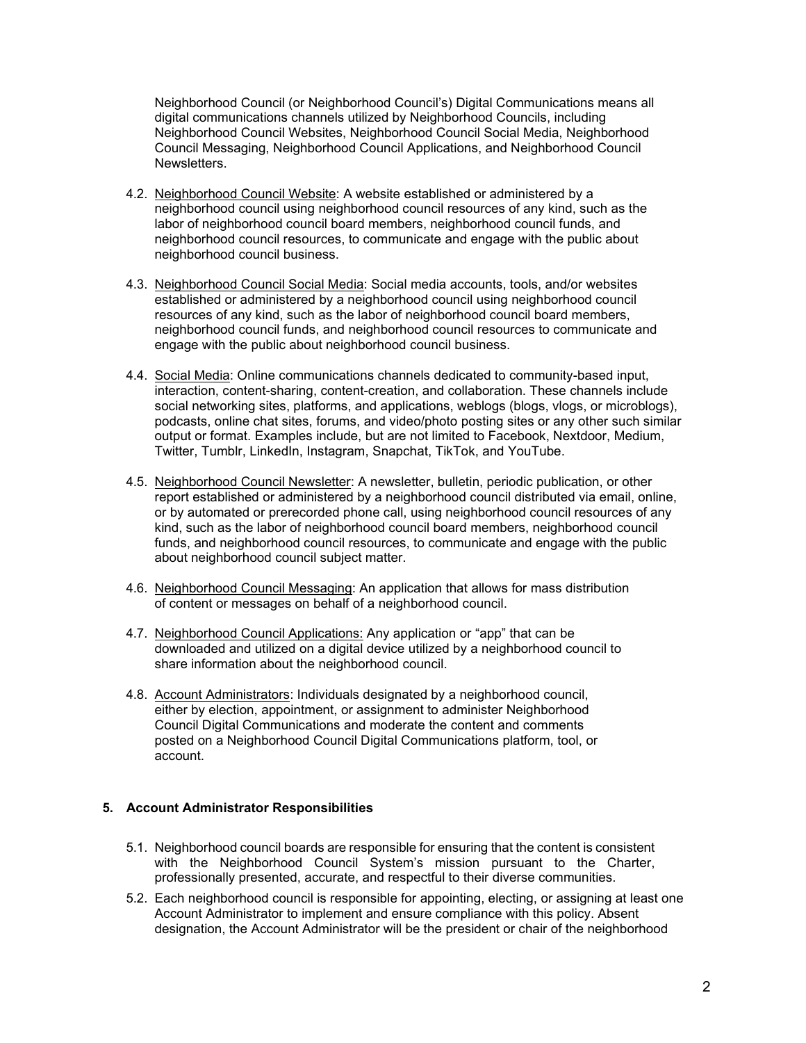Neighborhood Council (or Neighborhood Council's) Digital Communications means all digital communications channels utilized by Neighborhood Councils, including Neighborhood Council Websites, Neighborhood Council Social Media, Neighborhood Council Messaging, Neighborhood Council Applications, and Neighborhood Council Newsletters.

- 4.2. Neighborhood Council Website: A website established or administered by a neighborhood council using neighborhood council resources of any kind, such as the labor of neighborhood council board members, neighborhood council funds, and neighborhood council resources, to communicate and engage with the public about neighborhood council business.
- 4.3. Neighborhood Council Social Media: Social media accounts, tools, and/or websites established or administered by a neighborhood council using neighborhood council resources of any kind, such as the labor of neighborhood council board members, neighborhood council funds, and neighborhood council resources to communicate and engage with the public about neighborhood council business.
- 4.4. Social Media: Online communications channels dedicated to community-based input, interaction, content-sharing, content-creation, and collaboration. These channels include social networking sites, platforms, and applications, weblogs (blogs, vlogs, or microblogs), podcasts, online chat sites, forums, and video/photo posting sites or any other such similar output or format. Examples include, but are not limited to Facebook, Nextdoor, Medium, Twitter, Tumblr, LinkedIn, Instagram, Snapchat, TikTok, and YouTube.
- 4.5. Neighborhood Council Newsletter: A newsletter, bulletin, periodic publication, or other report established or administered by a neighborhood council distributed via email, online, or by automated or prerecorded phone call, using neighborhood council resources of any kind, such as the labor of neighborhood council board members, neighborhood council funds, and neighborhood council resources, to communicate and engage with the public about neighborhood council subject matter.
- 4.6. Neighborhood Council Messaging: An application that allows for mass distribution of content or messages on behalf of a neighborhood council.
- 4.7. Neighborhood Council Applications: Any application or "app" that can be downloaded and utilized on a digital device utilized by a neighborhood council to share information about the neighborhood council.
- 4.8. Account Administrators: Individuals designated by a neighborhood council, either by election, appointment, or assignment to administer Neighborhood Council Digital Communications and moderate the content and comments posted on a Neighborhood Council Digital Communications platform, tool, or account.

## **5. Account Administrator Responsibilities**

- 5.1. Neighborhood council boards are responsible for ensuring that the content is consistent with the Neighborhood Council System's mission pursuant to the Charter, professionally presented, accurate, and respectful to their diverse communities.
- 5.2. Each neighborhood council is responsible for appointing, electing, or assigning at least one Account Administrator to implement and ensure compliance with this policy. Absent designation, the Account Administrator will be the president or chair of the neighborhood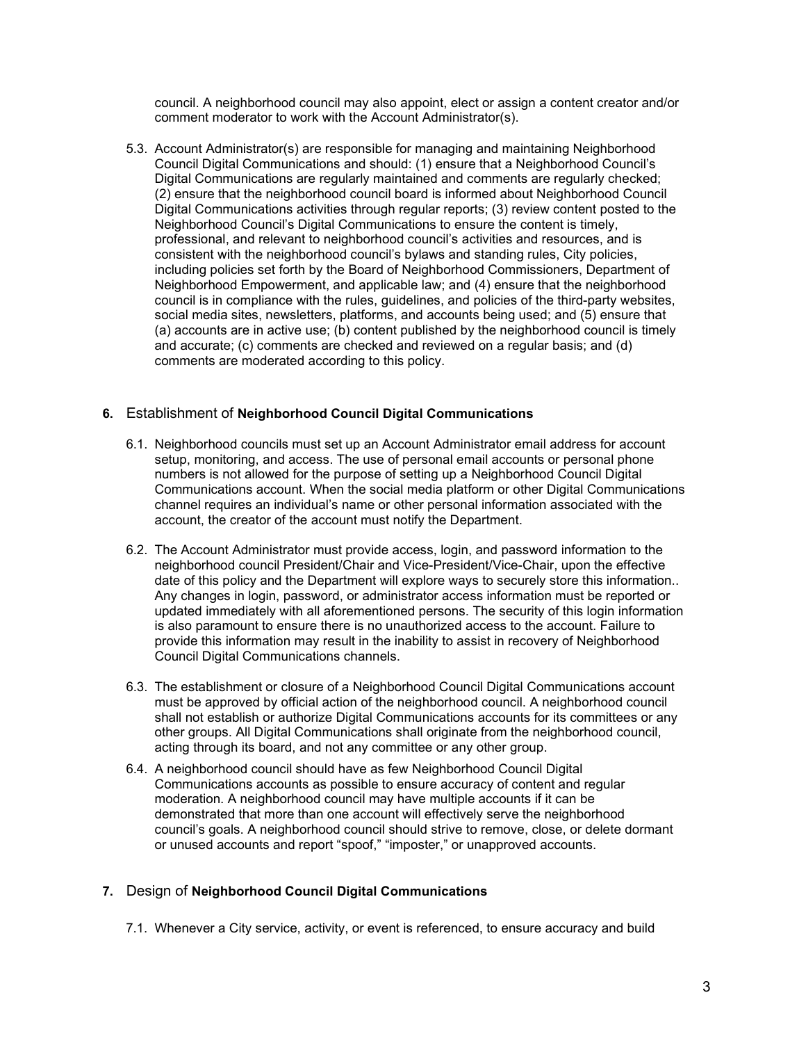council. A neighborhood council may also appoint, elect or assign a content creator and/or comment moderator to work with the Account Administrator(s).

5.3. Account Administrator(s) are responsible for managing and maintaining Neighborhood Council Digital Communications and should: (1) ensure that a Neighborhood Council's Digital Communications are regularly maintained and comments are regularly checked; (2) ensure that the neighborhood council board is informed about Neighborhood Council Digital Communications activities through regular reports; (3) review content posted to the Neighborhood Council's Digital Communications to ensure the content is timely, professional, and relevant to neighborhood council's activities and resources, and is consistent with the neighborhood council's bylaws and standing rules, City policies, including policies set forth by the Board of Neighborhood Commissioners, Department of Neighborhood Empowerment, and applicable law; and (4) ensure that the neighborhood council is in compliance with the rules, guidelines, and policies of the third-party websites, social media sites, newsletters, platforms, and accounts being used; and (5) ensure that (a) accounts are in active use; (b) content published by the neighborhood council is timely and accurate; (c) comments are checked and reviewed on a regular basis; and (d) comments are moderated according to this policy.

## **6.** Establishment of **Neighborhood Council Digital Communications**

- 6.1. Neighborhood councils must set up an Account Administrator email address for account setup, monitoring, and access. The use of personal email accounts or personal phone numbers is not allowed for the purpose of setting up a Neighborhood Council Digital Communications account. When the social media platform or other Digital Communications channel requires an individual's name or other personal information associated with the account, the creator of the account must notify the Department.
- 6.2. The Account Administrator must provide access, login, and password information to the neighborhood council President/Chair and Vice-President/Vice-Chair, upon the effective date of this policy and the Department will explore ways to securely store this information.. Any changes in login, password, or administrator access information must be reported or updated immediately with all aforementioned persons. The security of this login information is also paramount to ensure there is no unauthorized access to the account. Failure to provide this information may result in the inability to assist in recovery of Neighborhood Council Digital Communications channels.
- 6.3. The establishment or closure of a Neighborhood Council Digital Communications account must be approved by official action of the neighborhood council. A neighborhood council shall not establish or authorize Digital Communications accounts for its committees or any other groups. All Digital Communications shall originate from the neighborhood council, acting through its board, and not any committee or any other group.
- 6.4. A neighborhood council should have as few Neighborhood Council Digital Communications accounts as possible to ensure accuracy of content and regular moderation. A neighborhood council may have multiple accounts if it can be demonstrated that more than one account will effectively serve the neighborhood council's goals. A neighborhood council should strive to remove, close, or delete dormant or unused accounts and report "spoof," "imposter," or unapproved accounts.

# **7.** Design of **Neighborhood Council Digital Communications**

7.1. Whenever a City service, activity, or event is referenced, to ensure accuracy and build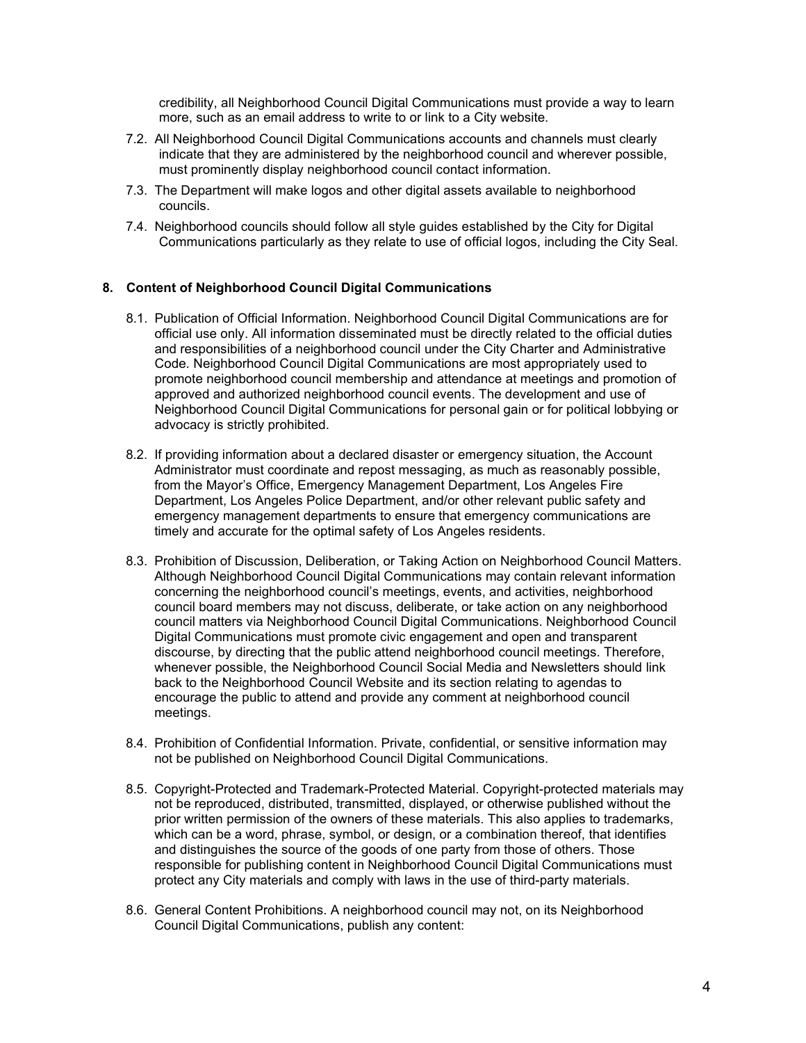credibility, all Neighborhood Council Digital Communications must provide a way to learn more, such as an email address to write to or link to a City website.

- 7.2. All Neighborhood Council Digital Communications accounts and channels must clearly indicate that they are administered by the neighborhood council and wherever possible, must prominently display neighborhood council contact information.
- 7.3. The Department will make logos and other digital assets available to neighborhood councils.
- 7.4. Neighborhood councils should follow all style guides established by the City for Digital Communications particularly as they relate to use of official logos, including the City Seal.

## **8. Content of Neighborhood Council Digital Communications**

- 8.1. Publication of Official Information. Neighborhood Council Digital Communications are for official use only. All information disseminated must be directly related to the official duties and responsibilities of a neighborhood council under the City Charter and Administrative Code. Neighborhood Council Digital Communications are most appropriately used to promote neighborhood council membership and attendance at meetings and promotion of approved and authorized neighborhood council events. The development and use of Neighborhood Council Digital Communications for personal gain or for political lobbying or advocacy is strictly prohibited.
- 8.2. If providing information about a declared disaster or emergency situation, the Account Administrator must coordinate and repost messaging, as much as reasonably possible, from the Mayor's Office, Emergency Management Department, Los Angeles Fire Department, Los Angeles Police Department, and/or other relevant public safety and emergency management departments to ensure that emergency communications are timely and accurate for the optimal safety of Los Angeles residents.
- 8.3. Prohibition of Discussion, Deliberation, or Taking Action on Neighborhood Council Matters. Although Neighborhood Council Digital Communications may contain relevant information concerning the neighborhood council's meetings, events, and activities, neighborhood council board members may not discuss, deliberate, or take action on any neighborhood council matters via Neighborhood Council Digital Communications. Neighborhood Council Digital Communications must promote civic engagement and open and transparent discourse, by directing that the public attend neighborhood council meetings. Therefore, whenever possible, the Neighborhood Council Social Media and Newsletters should link back to the Neighborhood Council Website and its section relating to agendas to encourage the public to attend and provide any comment at neighborhood council meetings.
- 8.4. Prohibition of Confidential Information. Private, confidential, or sensitive information may not be published on Neighborhood Council Digital Communications.
- 8.5. Copyright-Protected and Trademark-Protected Material. Copyright-protected materials may not be reproduced, distributed, transmitted, displayed, or otherwise published without the prior written permission of the owners of these materials. This also applies to trademarks, which can be a word, phrase, symbol, or design, or a combination thereof, that identifies and distinguishes the source of the goods of one party from those of others. Those responsible for publishing content in Neighborhood Council Digital Communications must protect any City materials and comply with laws in the use of third-party materials.
- 8.6. General Content Prohibitions. A neighborhood council may not, on its Neighborhood Council Digital Communications, publish any content: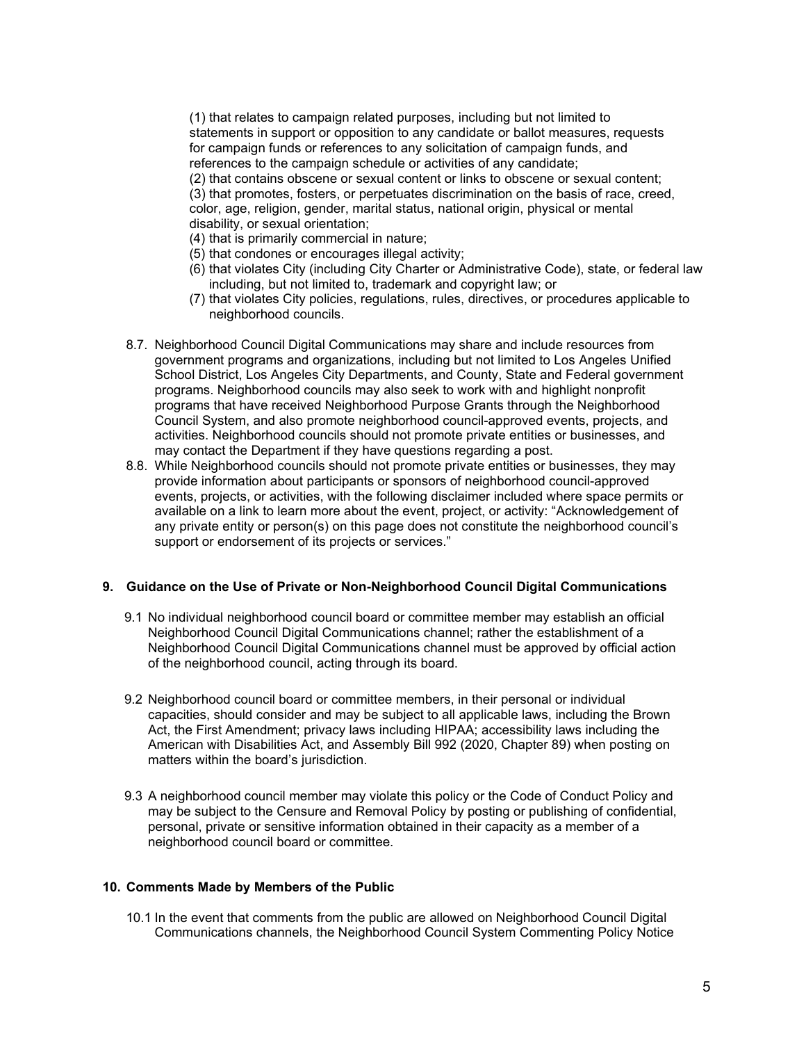(1) that relates to campaign related purposes, including but not limited to statements in support or opposition to any candidate or ballot measures, requests for campaign funds or references to any solicitation of campaign funds, and references to the campaign schedule or activities of any candidate; (2) that contains obscene or sexual content or links to obscene or sexual content; (3) that promotes, fosters, or perpetuates discrimination on the basis of race, creed, color, age, religion, gender, marital status, national origin, physical or mental disability, or sexual orientation;

- (4) that is primarily commercial in nature;
- (5) that condones or encourages illegal activity;
- (6) that violates City (including City Charter or Administrative Code), state, or federal law including, but not limited to, trademark and copyright law; or
- (7) that violates City policies, regulations, rules, directives, or procedures applicable to neighborhood councils.
- 8.7. Neighborhood Council Digital Communications may share and include resources from government programs and organizations, including but not limited to Los Angeles Unified School District, Los Angeles City Departments, and County, State and Federal government programs. Neighborhood councils may also seek to work with and highlight nonprofit programs that have received Neighborhood Purpose Grants through the Neighborhood Council System, and also promote neighborhood council-approved events, projects, and activities. Neighborhood councils should not promote private entities or businesses, and may contact the Department if they have questions regarding a post.
- 8.8. While Neighborhood councils should not promote private entities or businesses, they may provide information about participants or sponsors of neighborhood council-approved events, projects, or activities, with the following disclaimer included where space permits or available on a link to learn more about the event, project, or activity: "Acknowledgement of any private entity or person(s) on this page does not constitute the neighborhood council's support or endorsement of its projects or services."

### **9. Guidance on the Use of Private or Non-Neighborhood Council Digital Communications**

- 9.1 No individual neighborhood council board or committee member may establish an official Neighborhood Council Digital Communications channel; rather the establishment of a Neighborhood Council Digital Communications channel must be approved by official action of the neighborhood council, acting through its board.
- 9.2 Neighborhood council board or committee members, in their personal or individual capacities, should consider and may be subject to all applicable laws, including the Brown Act, the First Amendment; privacy laws including HIPAA; accessibility laws including the American with Disabilities Act, and Assembly Bill 992 (2020, Chapter 89) when posting on matters within the board's jurisdiction.
- 9.3 A neighborhood council member may violate this policy or the Code of Conduct Policy and may be subject to the Censure and Removal Policy by posting or publishing of confidential, personal, private or sensitive information obtained in their capacity as a member of a neighborhood council board or committee.

### **10. Comments Made by Members of the Public**

10.1 In the event that comments from the public are allowed on Neighborhood Council Digital Communications channels, the Neighborhood Council System Commenting Policy Notice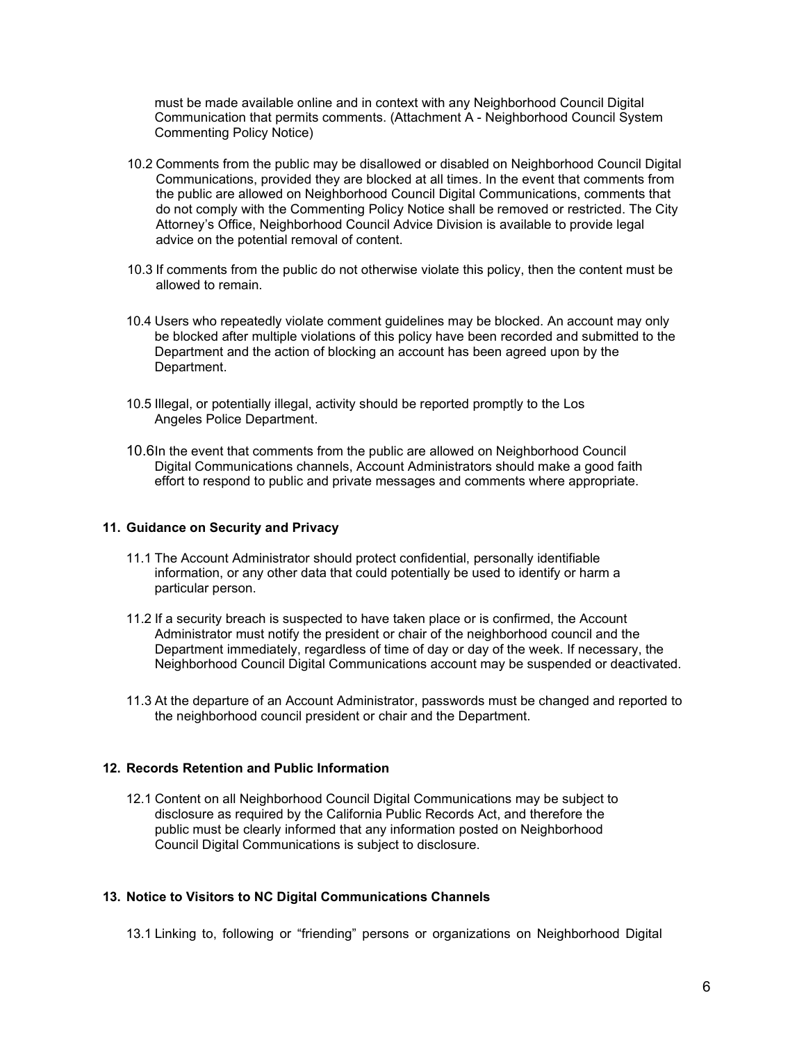must be made available online and in context with any Neighborhood Council Digital Communication that permits comments. (Attachment A - Neighborhood Council System Commenting Policy Notice)

- 10.2 Comments from the public may be disallowed or disabled on Neighborhood Council Digital Communications, provided they are blocked at all times. In the event that comments from the public are allowed on Neighborhood Council Digital Communications, comments that do not comply with the Commenting Policy Notice shall be removed or restricted. The City Attorney's Office, Neighborhood Council Advice Division is available to provide legal advice on the potential removal of content.
- 10.3 If comments from the public do not otherwise violate this policy, then the content must be allowed to remain.
- 10.4 Users who repeatedly violate comment guidelines may be blocked. An account may only be blocked after multiple violations of this policy have been recorded and submitted to the Department and the action of blocking an account has been agreed upon by the Department.
- 10.5 Illegal, or potentially illegal, activity should be reported promptly to the Los Angeles Police Department.
- 10.6In the event that comments from the public are allowed on Neighborhood Council Digital Communications channels, Account Administrators should make a good faith effort to respond to public and private messages and comments where appropriate.

#### **11. Guidance on Security and Privacy**

- 11.1 The Account Administrator should protect confidential, personally identifiable information, or any other data that could potentially be used to identify or harm a particular person.
- 11.2 If a security breach is suspected to have taken place or is confirmed, the Account Administrator must notify the president or chair of the neighborhood council and the Department immediately, regardless of time of day or day of the week. If necessary, the Neighborhood Council Digital Communications account may be suspended or deactivated.
- 11.3 At the departure of an Account Administrator, passwords must be changed and reported to the neighborhood council president or chair and the Department.

### **12. Records Retention and Public Information**

12.1 Content on all Neighborhood Council Digital Communications may be subject to disclosure as required by the California Public Records Act, and therefore the public must be clearly informed that any information posted on Neighborhood Council Digital Communications is subject to disclosure.

### **13. Notice to Visitors to NC Digital Communications Channels**

13.1 Linking to, following or "friending" persons or organizations on Neighborhood Digital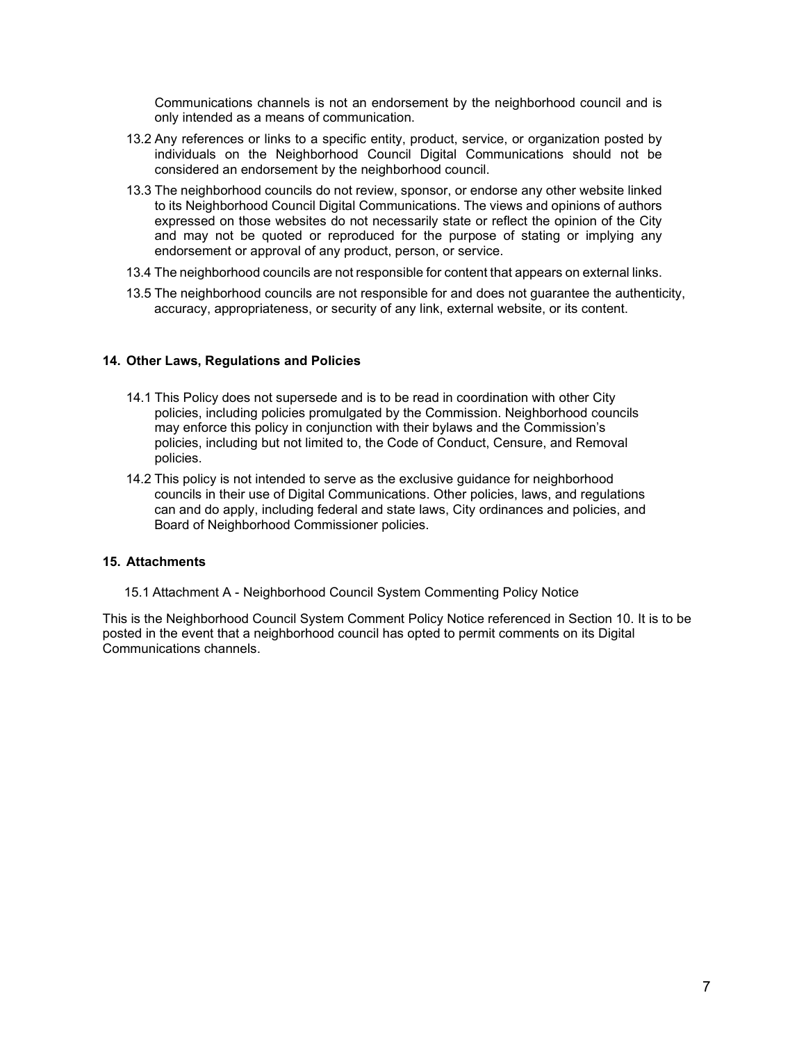Communications channels is not an endorsement by the neighborhood council and is only intended as a means of communication.

- 13.2 Any references or links to a specific entity, product, service, or organization posted by individuals on the Neighborhood Council Digital Communications should not be considered an endorsement by the neighborhood council.
- 13.3 The neighborhood councils do not review, sponsor, or endorse any other website linked to its Neighborhood Council Digital Communications. The views and opinions of authors expressed on those websites do not necessarily state or reflect the opinion of the City and may not be quoted or reproduced for the purpose of stating or implying any endorsement or approval of any product, person, or service.
- 13.4 The neighborhood councils are not responsible for content that appears on external links.
- 13.5 The neighborhood councils are not responsible for and does not guarantee the authenticity, accuracy, appropriateness, or security of any link, external website, or its content.

### **14. Other Laws, Regulations and Policies**

- 14.1 This Policy does not supersede and is to be read in coordination with other City policies, including policies promulgated by the Commission. Neighborhood councils may enforce this policy in conjunction with their bylaws and the Commission's policies, including but not limited to, the Code of Conduct, Censure, and Removal policies.
- 14.2 This policy is not intended to serve as the exclusive guidance for neighborhood councils in their use of Digital Communications. Other policies, laws, and regulations can and do apply, including federal and state laws, City ordinances and policies, and Board of Neighborhood Commissioner policies.

### **15. Attachments**

15.1 Attachment A - Neighborhood Council System Commenting Policy Notice

This is the Neighborhood Council System Comment Policy Notice referenced in Section 10. It is to be posted in the event that a neighborhood council has opted to permit comments on its Digital Communications channels.